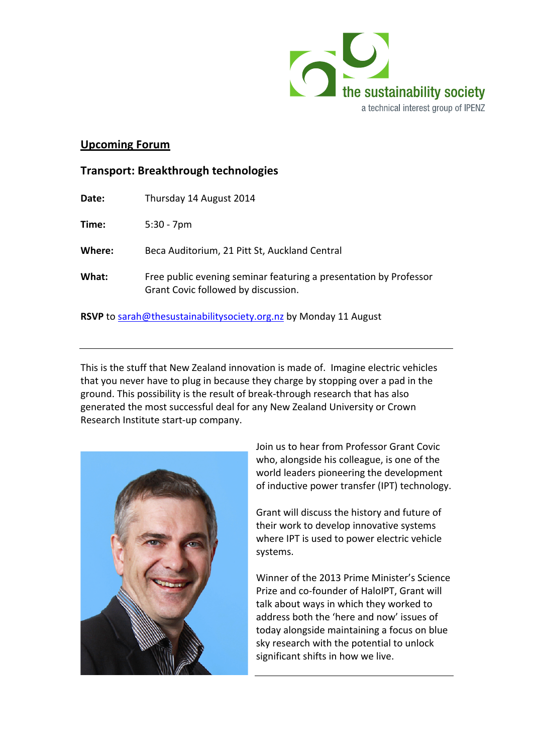

## **Upcoming Forum**

## **Transport: Breakthrough technologies**

| Date:                                                             | Thursday 14 August 2014                                                                                  |
|-------------------------------------------------------------------|----------------------------------------------------------------------------------------------------------|
| Time:                                                             | $5:30 - 7$ pm                                                                                            |
| Where:                                                            | Beca Auditorium, 21 Pitt St, Auckland Central                                                            |
| What:                                                             | Free public evening seminar featuring a presentation by Professor<br>Grant Covic followed by discussion. |
| RSVP to sarah@thesustainabilitysociety.org.nz by Monday 11 August |                                                                                                          |

This is the stuff that New Zealand innovation is made of. Imagine electric vehicles that you never have to plug in because they charge by stopping over a pad in the ground. This possibility is the result of break-through research that has also generated the most successful deal for any New Zealand University or Crown Research Institute start-up company.



Join us to hear from Professor Grant Covic who, alongside his colleague, is one of the world leaders pioneering the development of inductive power transfer (IPT) technology.

Grant will discuss the history and future of their work to develop innovative systems where IPT is used to power electric vehicle systems.

Winner of the 2013 Prime Minister's Science Prize and co-founder of HaloIPT, Grant will talk about ways in which they worked to address both the 'here and now' issues of today alongside maintaining a focus on blue sky research with the potential to unlock significant shifts in how we live.